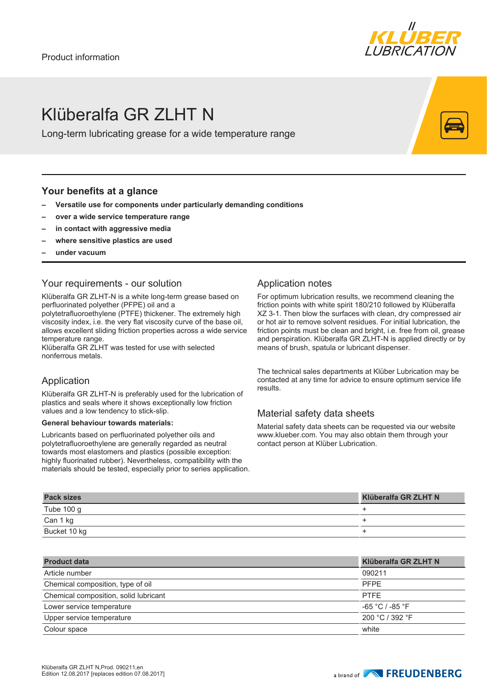

# Klüberalfa GR 71 HT N

Long-term lubricating grease for a wide temperature range

## **Your benefits at a glance**

- **– Versatile use for components under particularly demanding conditions**
- **– over a wide service temperature range**
- **– in contact with aggressive media**
- **– where sensitive plastics are used**
- **– under vacuum**

## Your requirements - our solution

Klüberalfa GR ZLHT-N is a white long-term grease based on perfluorinated polyether (PFPE) oil and a

polytetrafluoroethylene (PTFE) thickener. The extremely high viscosity index, i.e. the very flat viscosity curve of the base oil, allows excellent sliding friction properties across a wide service temperature range.

Klüberalfa GR ZLHT was tested for use with selected nonferrous metals.

## Application

Klüberalfa GR ZLHT-N is preferably used for the lubrication of plastics and seals where it shows exceptionally low friction values and a low tendency to stick-slip.

#### **General behaviour towards materials:**

Lubricants based on perfluorinated polyether oils and polytetrafluoroethylene are generally regarded as neutral towards most elastomers and plastics (possible exception: highly fluorinated rubber). Nevertheless, compatibility with the materials should be tested, especially prior to series application.

## Application notes

For optimum lubrication results, we recommend cleaning the friction points with white spirit 180/210 followed by Klüberalfa XZ 3-1. Then blow the surfaces with clean, dry compressed air or hot air to remove solvent residues. For initial lubrication, the friction points must be clean and bright, i.e. free from oil, grease and perspiration. Klüberalfa GR ZLHT-N is applied directly or by means of brush, spatula or lubricant dispenser.

The technical sales departments at Klüber Lubrication may be contacted at any time for advice to ensure optimum service life results.

## Material safety data sheets

Material safety data sheets can be requested via our website www.klueber.com. You may also obtain them through your contact person at Klüber Lubrication.

| <b>Pack sizes</b> | Klüberalfa GR ZLHT N |
|-------------------|----------------------|
| Tube 100 g        |                      |
| Can 1 kg          |                      |
| Bucket 10 kg      |                      |

| <b>Product data</b>                   | Klüberalfa GR ZLHT N |
|---------------------------------------|----------------------|
| Article number                        | 090211               |
| Chemical composition, type of oil     | <b>PFPE</b>          |
| Chemical composition, solid lubricant | <b>PTFE</b>          |
| Lower service temperature             | -65 °C / -85 °F      |
| Upper service temperature             | 200 °C / 392 °F      |
| Colour space                          | white                |